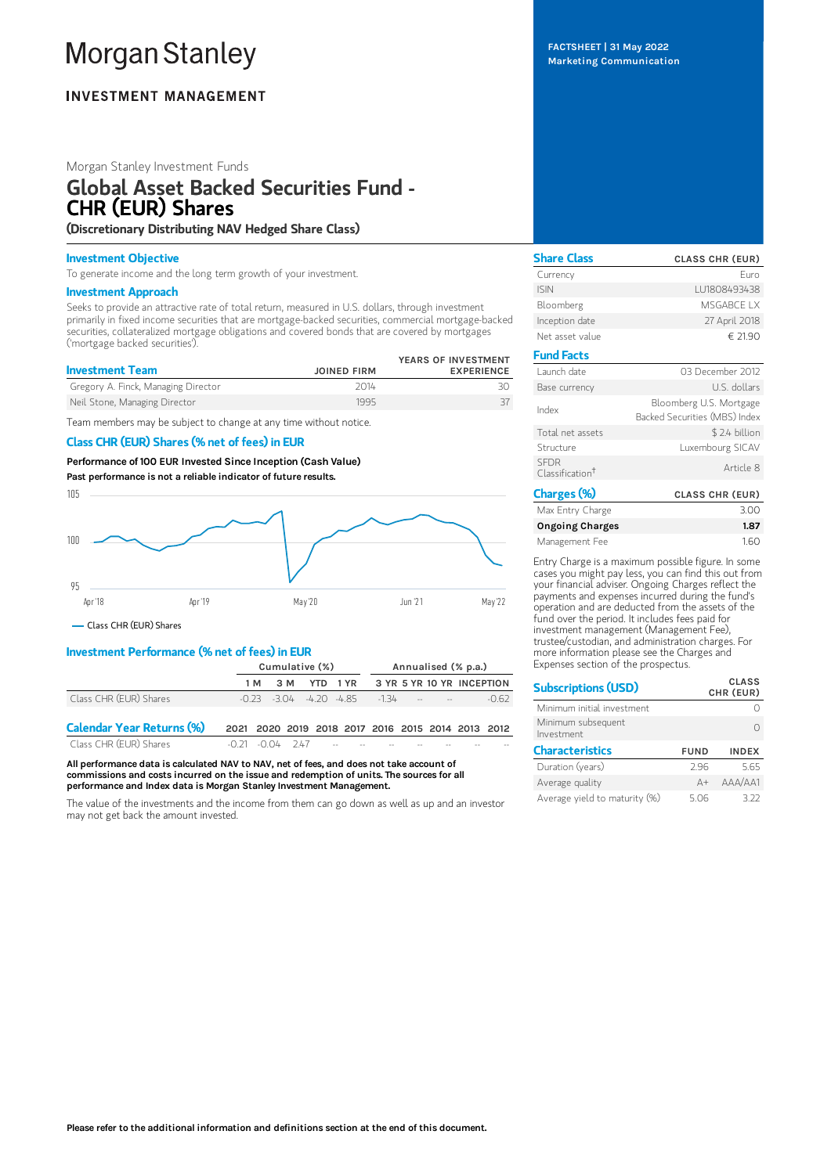# **Morgan Stanley**

# **INVESTMENT MANAGEMENT**

# Morgan Stanley Investment Funds

# Global Asset Backed Securities Fund - CHR (EUR) Shares

(Discretionary Distributing NAV Hedged Share Class)

# Investment Objective

To generate income and the long term growth of your investment.

# Investment Approach

Seeks to provide an attractive rate of total return, measured in U.S. dollars, through investment primarily in fixed income securities that are mortgage-backed securities, commercial mortgage-backed securities, collateralized mortgage obligations and covered bonds that are covered by mortgages ('mortgage backed securities').

| <b>Investment Team</b>              | <b>JOINED FIRM</b> | YEARS OF INVESTMENT<br><b>EXPERIENCE</b> |
|-------------------------------------|--------------------|------------------------------------------|
| Gregory A. Finck, Managing Director | 2014               |                                          |
| Neil Stone, Managing Director       | 1995               |                                          |

Team members may be subject to change at any time without notice.

# Class CHR (EUR) Shares (% net of fees) in EUR

Performance of 100 EUR Invested Since Inception (Cash Value) Past performance is not a reliable indicator of future results.



Class CHR (EUR) Shares

# Investment Performance (% net of fees) in EUR

|                                  | Cumulative (%)                                    |     | Annualised (% p.a.)                          |  |  |  |  |         |
|----------------------------------|---------------------------------------------------|-----|----------------------------------------------|--|--|--|--|---------|
|                                  | 1 M                                               | 3 M | YTD 1 YR 3 YR 5 YR 10 YR INCEPTION           |  |  |  |  |         |
| Class CHR (EUR) Shares           |                                                   |     | $-0.23$ $-3.04$ $-4.20$ $-4.85$ $-1.34$ $ -$ |  |  |  |  | $-0.62$ |
| <b>Calendar Year Returns (%)</b> | 2021 2020 2019 2018 2017 2016 2015 2014 2013 2012 |     |                                              |  |  |  |  |         |
| Class CHR (FUR) Shares           | $-0.71$ $-0.04$ $-747$ $-1$ $-1$ $-1$ $-1$        |     |                                              |  |  |  |  |         |

All performance data is calculated NAV to NAV, net of fees, and does not take account of commissions and costs incurred on the issue and redemption of units. The sources for all performance and Index data is Morgan Stanley Investment Management.

The value of the investments and the income from them can go down as well as up and an investor may not get back the amount invested.

FACTSHEET | 31 May 2022 Marketing Communication

| <b>Share Class</b>                         | <b>CLASS CHR (EUR)</b>                                   |
|--------------------------------------------|----------------------------------------------------------|
| Currency                                   | Euro                                                     |
| <b>ISIN</b>                                | LU1808493438                                             |
| Bloomberg                                  | MSGABCE I X                                              |
| Inception date                             | 27 April 2018                                            |
| Net asset value                            | € 21.90                                                  |
| <b>Fund Facts</b>                          |                                                          |
| Launch date                                | 03 December 2012                                         |
| Base currency                              | U.S. dollars                                             |
| Index                                      | Bloomberg U.S. Mortgage<br>Backed Securities (MBS) Index |
| Total net assets                           | \$2.4 billion                                            |
| Structure                                  | Luxembourg SICAV                                         |
| <b>SFDR</b><br>Classification <sup>†</sup> | Article 8                                                |
| Charges (%)                                | <b>CLASS CHR (EUR)</b>                                   |
| $M_{\text{max}}$ Fata $C$ and $C$          | הה ר                                                     |

| Max Entry Charge       | 3.00 |
|------------------------|------|
| <b>Ongoing Charges</b> | 1.87 |
| Management Fee         | 1.60 |

Entry Charge is a maximum possible figure. In some cases you might pay less, you can find this out from your financial adviser. Ongoing Charges reflect the payments and expenses incurred during the fund's operation and are deducted from the assets of the fund over the period. It includes fees paid for investment management (Management Fee), trustee/custodian, and administration charges. For more information please see the Charges and Expenses section of the prospectus.

| <b>Subscriptions (USD)</b>       |             | <b>CLASS</b><br>CHR (EUR) |
|----------------------------------|-------------|---------------------------|
| Minimum initial investment       |             |                           |
| Minimum subsequent<br>Investment |             |                           |
| <b>Characteristics</b>           | <b>FUND</b> | <b>INDEX</b>              |
| Duration (years)                 | 296         | 5.65                      |
| Average quality                  | $A +$       | AAA/AA1                   |
| Average yield to maturity (%)    | 5.06        | 372                       |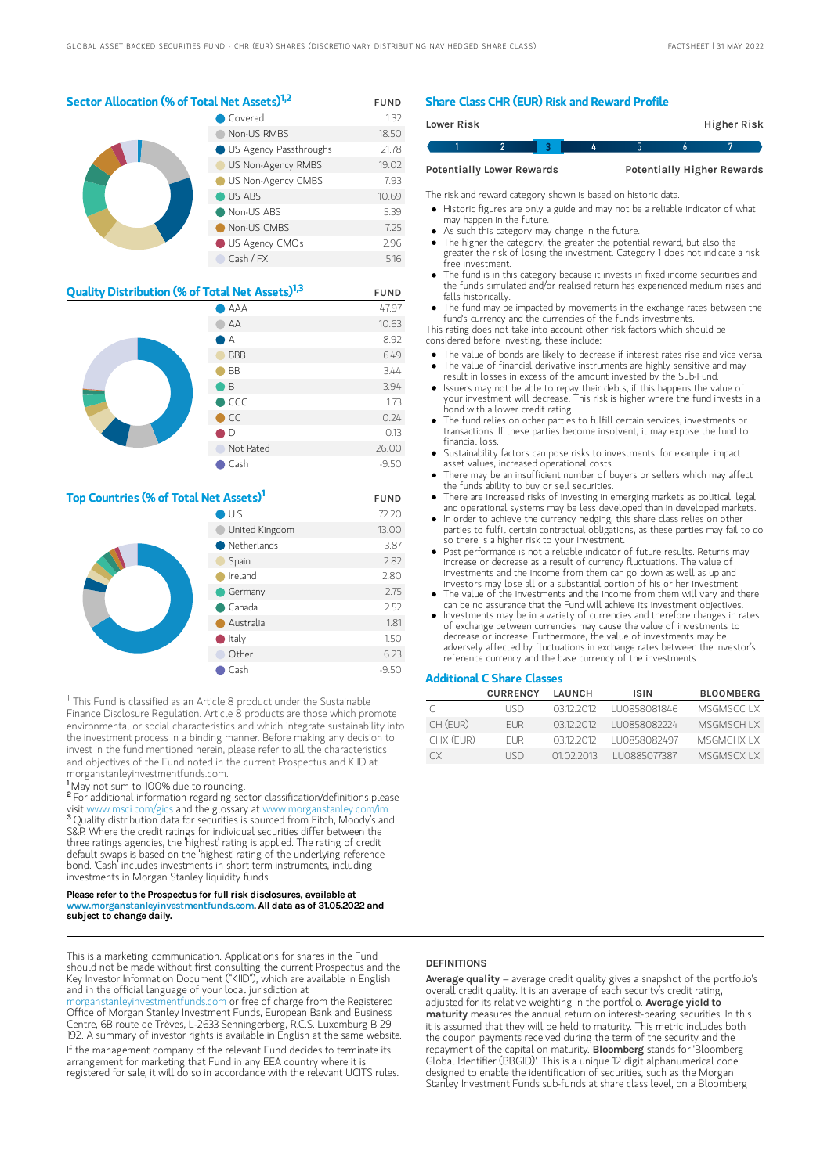# Sector Allocation (% of Total Net Assets)<sup>1,2</sup> FUND

|  | Covered                         | 1.32  |
|--|---------------------------------|-------|
|  | Non-US RMBS                     | 18.50 |
|  | <b>O</b> US Agency Passthroughs | 21.78 |
|  | US Non-Agency RMBS              | 19.02 |
|  | US Non-Agency CMBS              | 7.93  |
|  | <b>US ABS</b>                   | 10.69 |
|  | Non-US ABS                      | 5.39  |
|  | Non-US CMBS                     | 7.25  |
|  | US Agency CMOs                  | 2.96  |
|  | Cash / FX                       | 5.16  |

| <b>Quality Distribution (% of Total Net Assets)</b> <sup>1,3</sup> |                | <b>FUND</b> |
|--------------------------------------------------------------------|----------------|-------------|
|                                                                    | AAA            | 47.97       |
|                                                                    | AA             | 10.63       |
|                                                                    | А              | 8.92        |
|                                                                    | <b>BBB</b>     | 6.49        |
|                                                                    | <b>BB</b>      | 3.44        |
|                                                                    | ιB             | 3.94        |
|                                                                    | $\bigcirc$ CCC | 1.73        |
|                                                                    | CC             | 0.24        |
|                                                                    | D              | 0.13        |
|                                                                    | Not Rated      | 26.00       |
|                                                                    | Cash           | $-9.50$     |

### Top Countries (% of Total Net Assets)<sup>1</sup> FUND

|  | $\bigcirc$ U.S.       | 72.20   |
|--|-----------------------|---------|
|  | United Kingdom        | 13.00   |
|  | $\bullet$ Netherlands | 3.87    |
|  | Spain                 | 2.82    |
|  | Ireland               | 2.80    |
|  | Germany               | 2.75    |
|  | $\bullet$ Canada      | 2.52    |
|  | Australia             | 1.81    |
|  | $\bullet$ Italy       | 1.50    |
|  | Other                 | 6.23    |
|  | Cash                  | $-9.50$ |

<sup>†</sup> This Fund is classified as an Article 8 product under the Sustainable Finance Disclosure Regulation. Article 8 products are those which promote environmental or social characteristics and which integrate sustainability into the investment process in a binding manner. Before making any decision to invest in the fund mentioned herein, please refer to all the characteristics and objectives of the Fund noted in the current Prospectus and KIID at morganstanleyinvestmentfunds.com.

<sup>1</sup>May not sum to 100% due to rounding.

<sup>2</sup> For additional information regarding sector classification/definitions please visit www.msci.com/gics and the glossary at www.morganstanley.com/im. <sup>3</sup> Quality distribution data for securities is sourced from Fitch, Moody's and S&P. Where the credit ratings for individual securities differ between the three ratings agencies, the 'highest' rating is applied. The rating of credit default swaps is based on the 'highest' rating of the underlying reference bond. 'Cash' includes investments in short term instruments, including investments in Morgan Stanley liquidity funds.

#### Please refer to the Prospectus for full risk disclosures, available at www.morganstanleyinvestmentfunds.com. All data as of 31.05.2022 and subject to change daily.

This is a marketing communication. Applications for shares in the Fund should not be made without first consulting the current Prospectus and the Key Investor Information Document ("KIID"), which are available in English and in the official language of your local jurisdiction at

leyinvestmentfunds.com or free of charge from the Registered Office of Morgan Stanley Investment Funds, European Bank and Business Centre, 6B route de Trèves, L-2633 Senningerberg, R.C.S. Luxemburg B 29 192. A summary of investor rights is available in English at the same website. If the management company of the relevant Fund decides to terminate its arrangement for marketing that Fund in any EEA country where it is registered for sale, it will do so in accordance with the relevant UCITS rules.

#### Share Class CHR (EUR) Risk and Reward Profile

| Lower Risk |                                  |  |  | <b>Higher Risk</b>                |  |
|------------|----------------------------------|--|--|-----------------------------------|--|
|            |                                  |  |  |                                   |  |
|            | <b>Potentially Lower Rewards</b> |  |  | <b>Potentially Higher Rewards</b> |  |

The risk and reward category shown is based on historic data.

- Historic figures are only a guide and may not be a reliable indicator of what may happen in the future.
- As such this category may change in the future.
- The higher the category, the greater the potential reward, but also the greater the risk of losing the investment. Category 1 does not indicate a risk free investment.
- The fund is in this category because it invests in fixed income securities and the fund's simulated and/or realised return has experienced medium rises and falls historically.
- The fund may be impacted by movements in the exchange rates between the fund's currency and the currencies of the fund's investments.

This rating does not take into account other risk factors which should be considered before investing, these include:

- The value of bonds are likely to decrease if interest rates rise and vice versa.
- The value of financial derivative instruments are highly sensitive and may result in losses in excess of the amount invested by the Sub-Fund. Issuers may not be able to repay their debts, if this happens the value of
- your investment will decrease. This risk is higher where the fund invests in a bond with a lower credit rating.
- The fund relies on other parties to fulfill certain services, investments or transactions. If these parties become insolvent, it may expose the fund to financial loss.
- Sustainability factors can pose risks to investments, for example: impact asset values, increased operational costs.
- There may be an insufficient number of buyers or sellers which may affect the funds ability to buy or sell securities.
- There are increased risks of investing in emerging markets as political, legal and operational systems may be less developed than in developed markets.
- In order to achieve the currency hedging, this share class relies on other parties to fulfil certain contractual obligations, as these parties may fail to do so there is a higher risk to your investment.
- Past performance is not a reliable indicator of future results. Returns may increase or decrease as a result of currency fluctuations. The value of investments and the income from them can go down as well as up and investors may lose all or a substantial portion of his or her investment.
- The value of the investments and the income from them will vary and there
- can be no assurance that the Fund will achieve its investment objectives. Investments may be in a variety of currencies and therefore changes in rates of exchange between currencies may cause the value of investments to decrease or increase. Furthermore, the value of investments may be adversely affected by fluctuations in exchange rates between the investor's reference currency and the base currency of the investments.

#### Additional C Share Classes

|           | <b>CURRENCY</b> | LAUNCH     | <b>ISIN</b>          | <b>BLOOMBERG</b> |
|-----------|-----------------|------------|----------------------|------------------|
|           | LISD.           | 03122012   | LU0858081846         | MSGMSCC LX       |
| CH (EUR)  | <b>FUR</b>      | 03122012   | LU0858082224         | <b>MSGMSCHIX</b> |
| CHX (FUR) | FUR.            | 03122012   | <b>ILIO858082497</b> | MSGMCHX I X      |
| СX        | LISD            | 01 02 2013 | LU0885077387         | <b>MSGMSCXIX</b> |

#### **DEFINITIONS**

Average quality – average credit quality gives a snapshot of the portfolio's overall credit quality. It is an average of each security's credit rating, adjusted for its relative weighting in the portfolio. Average vield to maturity measures the annual return on interest-bearing securities. In this it is assumed that they will be held to maturity. This metric includes both the coupon payments received during the term of the security and the<br>repayment of the capital on maturity. **BIoomberg** stands for 'Bloomberg Global Identifier (BBGID)'. This is a unique 12 digit alphanumerical code designed to enable the identification of securities, such as the Morgan Stanley Investment Funds sub-funds at share class level, on a Bloomberg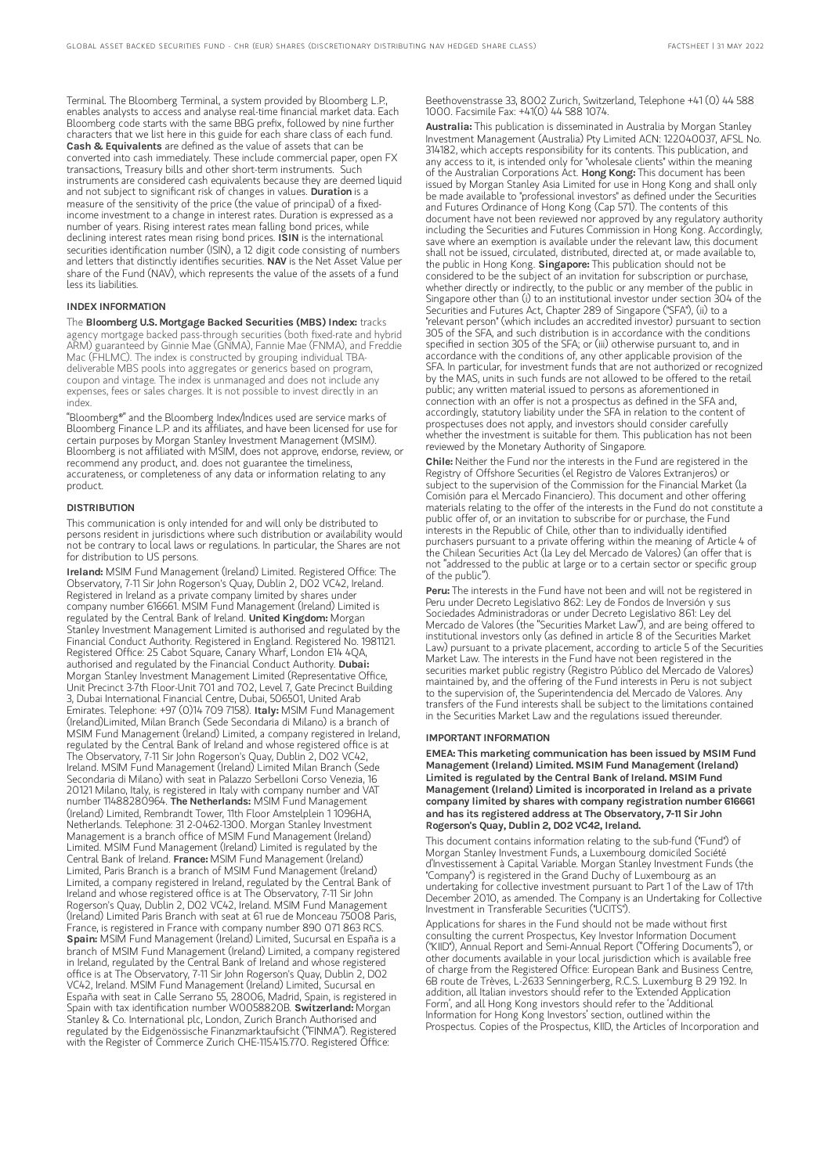Terminal. The Bloomberg Terminal, a system provided by Bloomberg L.P., enables analysts to access and analyse real-time financial market data. Each Bloomberg code starts with the same BBG prefix, followed by nine further characters that we list here in this guide for each share class of each fund. Cash & Equivalents are defined as the value of assets that can be converted into cash immediately. These include commercial paper, open FX transactions, Treasury bills and other short-term instruments. Such instruments are considered cash equivalents because they are deemed liquid and not subject to significant risk of changes in values. Duration is a measure of the sensitivity of the price (the value of principal) of a fixedincome investment to a change in interest rates. Duration is expressed as a number of years. Rising interest rates mean falling bond prices, while declining interest rates mean rising bond prices. ISIN is the international securities identification number (ISIN), a 12 digit code consisting of numbers and letters that distinctly identifies securities. NAV is the Net Asset Value per share of the Fund (NAV), which represents the value of the assets of a fund less its liabilities.

#### INDEX INFORMATION

The Bloomberg U.S. Mortgage Backed Securities (MBS) Index: tracks agency mortgage backed pass-through securities (both fixed-rate and hybrid ARM) guaranteed by Ginnie Mae (GNMA), Fannie Mae (FNMA), and Freddie Mac (FHLMC). The index is constructed by grouping individual TBAdeliverable MBS pools into aggregates or generics based on program, coupon and vintage. The index is unmanaged and does not include any expenses, fees or sales charges. It is not possible to invest directly in an index.

"Bloomberg®" and the Bloomberg Index/Indices used are service marks of Bloomberg Finance L.P. and its affiliates, and have been licensed for use for certain purposes by Morgan Stanley Investment Management (MSIM). Bloomberg is not affiliated with MSIM, does not approve, endorse, review, or recommend any product, and. does not guarantee the timeliness, accurateness, or completeness of any data or information relating to any product.

#### **DISTRIBUTION**

This communication is only intended for and will only be distributed to persons resident in jurisdictions where such distribution or availability would not be contrary to local laws or regulations. In particular, the Shares are not for distribution to US persons.

Ireland: MSIM Fund Management (Ireland) Limited. Registered Office: The Observatory, 7-11 Sir John Rogerson's Quay, Dublin 2, D02 VC42, Ireland. Registered in Ireland as a private company limited by shares under company number 616661. MSIM Fund Management (Ireland) Limited is regulated by the Central Bank of Ireland. United Kingdom: Morgan Stanley Investment Management Limited is authorised and regulated by the Financial Conduct Authority. Registered in England. Registered No. 1981121. Registered Office: 25 Cabot Square, Canary Wharf, London E14 4QA, authorised and regulated by the Financial Conduct Authority. Dubai: Morgan Stanley Investment Management Limited (Representative Office, Unit Precinct 3-7th Floor-Unit 701 and 702, Level 7, Gate Precinct Building 3, Dubai International Financial Centre, Dubai, 506501, United Arab Emirates. Telephone: +97 (0)14 709 7158). Italy: MSIM Fund Management (Ireland)Limited, Milan Branch (Sede Secondaria di Milano) is a branch of MSIM Fund Management (Ireland) Limited, a company registered in Ireland, regulated by the Central Bank of Ireland and whose registered office is at The Observatory, 7-11 Sir John Rogerson's Quay, Dublin 2, D02 VC42, Ireland. MSIM Fund Management (Ireland) Limited Milan Branch (Sede Secondaria di Milano) with seat in Palazzo Serbelloni Corso Venezia, 16 20121 Milano, Italy, is registered in Italy with company number and VAT<br>number 11488280964. **The Netherlands:** MSIM Fund Management (Ireland) Limited, Rembrandt Tower, 11th Floor Amstelplein 1 1096HA, Netherlands. Telephone: 31 2-0462-1300. Morgan Stanley Investment Management is a branch office of MSIM Fund Management (Ireland) Limited. MSIM Fund Management (Ireland) Limited is regulated by the<br>Central Bank of Ireland. **France:** MSIM Fund Management (Ireland) Limited, Paris Branch is a branch of MSIM Fund Management (Ireland) Limited, a company registered in Ireland, regulated by the Central Bank of Ireland and whose registered office is at The Observatory, 7-11 Sir John Rogerson's Quay, Dublin 2, D02 VC42, Ireland. MSIM Fund Management (Ireland) Limited Paris Branch with seat at 61 rue de Monceau 75008 Paris, France, is registered in France with company number 890 071 863 RCS. Spain: MSIM Fund Management (Ireland) Limited, Sucursal en España is a branch of MSIM Fund Management (Ireland) Limited, a company registered in Ireland, regulated by the Central Bank of Ireland and whose registered office is at The Observatory, 7-11 Sir John Rogerson's Quay, Dublin 2, D02 VC42, Ireland. MSIM Fund Management (Ireland) Limited, Sucursal en España with seat in Calle Serrano 55, 28006, Madrid, Spain, is registered in Spain with tax identification number W0058820B. Switzerland: Morgan Stanley & Co. International plc, London, Zurich Branch Authorised and regulated by the Eidgenössische Finanzmarktaufsicht ("FINMA"). Registered with the Register of Commerce Zurich CHE-115.415.770. Registered Office:

Beethovenstrasse 33, 8002 Zurich, Switzerland, Telephone +41 (0) 44 588 1000. Facsimile Fax: +41(0) 44 588 1074.

Australia: This publication is disseminated in Australia by Morgan Stanley Investment Management (Australia) Pty Limited ACN: 122040037, AFSL No. 314182, which accepts responsibility for its contents. This publication, and any access to it, is intended only for "wholesale clients" within the meaning of the Australian Corporations Act. Hong Kong: This document has been issued by Morgan Stanley Asia Limited for use in Hong Kong and shall only be made available to "professional investors" as defined under the Securities and Futures Ordinance of Hong Kong (Cap 571). The contents of this document have not been reviewed nor approved by any regulatory authority including the Securities and Futures Commission in Hong Kong. Accordingly, save where an exemption is available under the relevant law, this document shall not be issued, circulated, distributed, directed at, or made available to, the public in Hong Kong. Singapore: This publication should not be considered to be the subject of an invitation for subscription or purchase, whether directly or indirectly, to the public or any member of the public in Singapore other than (i) to an institutional investor under section 304 of the Securities and Futures Act, Chapter 289 of Singapore ("SFA"), (ii) to a "relevant person" (which includes an accredited investor) pursuant to section 305 of the SFA, and such distribution is in accordance with the conditions specified in section 305 of the SFA; or (iii) otherwise pursuant to, and in accordance with the conditions of, any other applicable provision of the SFA. In particular, for investment funds that are not authorized or recognized by the MAS, units in such funds are not allowed to be offered to the retail public; any written material issued to persons as aforementioned in connection with an offer is not a prospectus as defined in the SFA and, accordingly, statutory liability under the SFA in relation to the content of prospectuses does not apply, and investors should consider carefully whether the investment is suitable for them. This publication has not been reviewed by the Monetary Authority of Singapore.

Chile: Neither the Fund nor the interests in the Fund are registered in the Registry of Offshore Securities (el Registro de Valores Extranjeros) or subject to the supervision of the Commission for the Financial Market (la Comisión para el Mercado Financiero). This document and other offering materials relating to the offer of the interests in the Fund do not constitute a public offer of, or an invitation to subscribe for or purchase, the Fund interests in the Republic of Chile, other than to individually identified purchasers pursuant to a private offering within the meaning of Article 4 of the Chilean Securities Act (la Ley del Mercado de Valores) (an offer that is not "addressed to the public at large or to a certain sector or specific group of the public").

Peru: The interests in the Fund have not been and will not be registered in Peru under Decreto Legislativo 862: Ley de Fondos de Inversión y sus Sociedades Administradoras or under Decreto Legislativo 861: Ley del Mercado de Valores (the "Securities Market Law"), and are being offered to institutional investors only (as defined in article 8 of the Securities Market Law) pursuant to a private placement, according to article 5 of the Securities Market Law. The interests in the Fund have not been registered in the securities market public registry (Registro Público del Mercado de Valores) maintained by, and the offering of the Fund interests in Peru is not subject to the supervision of, the Superintendencia del Mercado de Valores. Any transfers of the Fund interests shall be subject to the limitations contained in the Securities Market Law and the regulations issued thereunder.

#### IMPORTANT INFORMATION

EMEA: This marketing communication has been issued by MSIM Fund Management (Ireland) Limited. MSIM Fund Management (Ireland) Limited is regulated by the Central Bank of Ireland. MSIM Fund Management (Ireland) Limited is incorporated in Ireland as a private company limited by shares with company registration number 616661 and has its registered address at The Observatory, 7-11 Sir John Rogerson's Quay, Dublin 2, D02 VC42, Ireland.

This document contains information relating to the sub-fund ("Fund") of Morgan Stanley Investment Funds, a Luxembourg domiciled Société d'Investissement à Capital Variable. Morgan Stanley Investment Funds (the "Company") is registered in the Grand Duchy of Luxembourg as an undertaking for collective investment pursuant to Part 1 of the Law of 17th December 2010, as amended. The Company is an Undertaking for Collective Investment in Transferable Securities ("UCITS").

Applications for shares in the Fund should not be made without first consulting the current Prospectus, Key Investor Information Document ("KIID"), Annual Report and Semi-Annual Report ("Offering Documents"), or other documents available in your local jurisdiction which is available free of charge from the Registered Office: European Bank and Business Centre, 6B route de Trèves, L-2633 Senningerberg, R.C.S. Luxemburg B 29 192. In addition, all Italian investors should refer to the 'Extended Application Form', and all Hong Kong investors should refer to the 'Additional Information for Hong Kong Investors' section, outlined within the Prospectus. Copies of the Prospectus, KIID, the Articles of Incorporation and